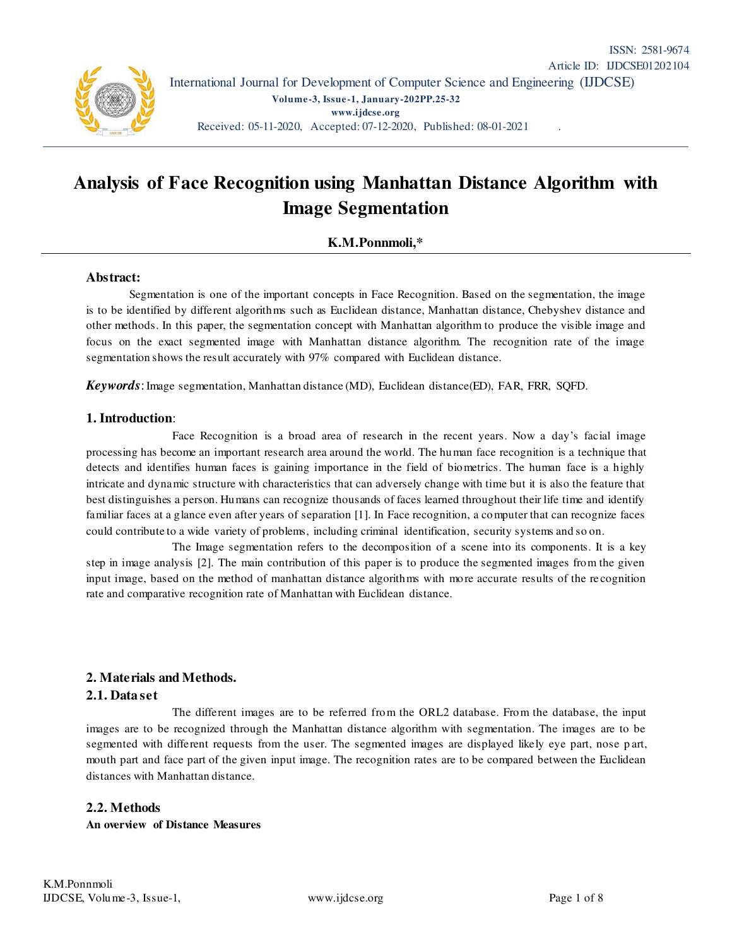

# **Analysis of Face Recognition using Manhattan Distance Algorithm with Image Segmentation**

# **K.M.Ponnmoli,\***

## **Abstract:**

Segmentation is one of the important concepts in Face Recognition. Based on the segmentation, the image is to be identified by different algorithms such as Euclidean distance, Manhattan distance, Chebyshev distance and other methods. In this paper, the segmentation concept with Manhattan algorithm to produce the visible image and focus on the exact segmented image with Manhattan distance algorithm. The recognition rate of the image segmentation shows the result accurately with 97% compared with Euclidean distance.

*Keywords*:Image segmentation, Manhattan distance (MD), Euclidean distance(ED), FAR, FRR, SQFD.

#### **1. Introduction**:

 Face Recognition is a broad area of research in the recent years. Now a day's facial image processing has become an important research area around the world. The human face recognition is a technique that detects and identifies human faces is gaining importance in the field of biometrics. The human face is a highly intricate and dynamic structure with characteristics that can adversely change with time but it is also the feature that best distinguishes a person. Humans can recognize thousands of faces learned throughout their life time and identify familiar faces at a glance even after years of separation [1]. In Face recognition, a computer that can recognize faces could contribute to a wide variety of problems, including criminal identification, security systems and so on.

 The Image segmentation refers to the decomposition of a scene into its components. It is a key step in image analysis [2]. The main contribution of this paper is to produce the segmented images from the given input image, based on the method of manhattan distance algorithms with more accurate results of the re cognition rate and comparative recognition rate of Manhattan with Euclidean distance.

## **2. Materials and Methods.**

## **2.1. Data set**

 The different images are to be referred from the ORL2 database. From the database, the input images are to be recognized through the Manhattan distance algorithm with segmentation. The images are to be segmented with different requests from the user. The segmented images are displayed likely eye part, nose part, mouth part and face part of the given input image. The recognition rates are to be compared between the Euclidean distances with Manhattan distance.

## **2.2. Methods**

## **An overview of Distance Measures**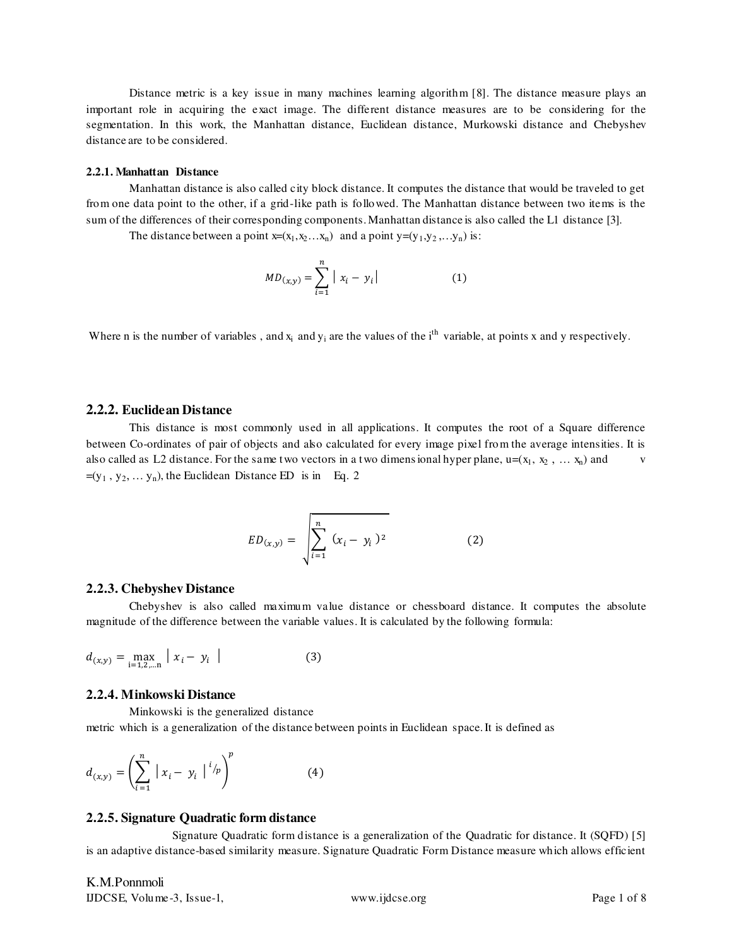Distance metric is a key issue in many machines learning algorithm [8]. The distance measure plays an important role in acquiring the exact image. The different distance measures are to be considering for the segmentation. In this work, the Manhattan distance, Euclidean distance, Murkowski distance and Chebyshev distance are to be considered.

#### **2.2.1. Manhattan Distance**

 Manhattan distance is also called city block distance. It computes the distance that would be traveled to get from one data point to the other, if a grid-like path is followed. The Manhattan distance between two items is the sum of the differences of their corresponding components. Manhattan distance is also called the L1 distance [3].

The distance between a point  $x=(x_1,x_2...x_n)$  and a point  $y=(y_1,y_2,...y_n)$  is:

$$
MD_{(x,y)} = \sum_{i=1}^{n} |x_i - y_i|
$$
 (1)

Where n is the number of variables, and  $x_i$  and  $y_i$  are the values of the i<sup>th</sup> variable, at points x and y respectively.

#### **2.2.2. Euclidean Distance**

This distance is most commonly used in all applications. It computes the root of a Square difference between Co-ordinates of pair of objects and also calculated for every image pixel from the average intensities. It is also called as L2 distance. For the same two vectors in a two dimensional hyper plane,  $u=(x_1, x_2, ..., x_n)$  and v  $=(y_1, y_2, \dots y_n)$ , the Euclidean Distance ED is in Eq. 2

$$
ED_{(x,y)} = \sqrt{\sum_{i=1}^{n} (x_i - y_i)^2}
$$
 (2)

#### **2.2.3. Chebyshev Distance**

Chebyshev is also called maximum value distance or chessboard distance. It computes the absolute magnitude of the difference between the variable values. It is calculated by the following formula:

$$
d_{(x,y)} = \max_{i=1,2,...n} |x_i - y_i|
$$
 (3)

#### **2.2.4. Minkowski Distance**

Minkowski is the generalized distance metric which is a generalization of the distance between points in Euclidean space. It is defined as

$$
d_{(x,y)} = \left(\sum_{i=1}^{n} |x_i - y_i|^{i/p}\right)^{p}
$$
 (4)

#### **2.2.5. Signature Quadratic form distance**

 Signature Quadratic form distance is a generalization of the Quadratic for distance. It (SQFD) [5] is an adaptive distance-based similarity measure. Signature Quadratic Form Distance measure which allows efficient

K.M.Ponnmoli IJDCSE, Volume-3, Issue-1, www.ijdcse.org Page 1 of 8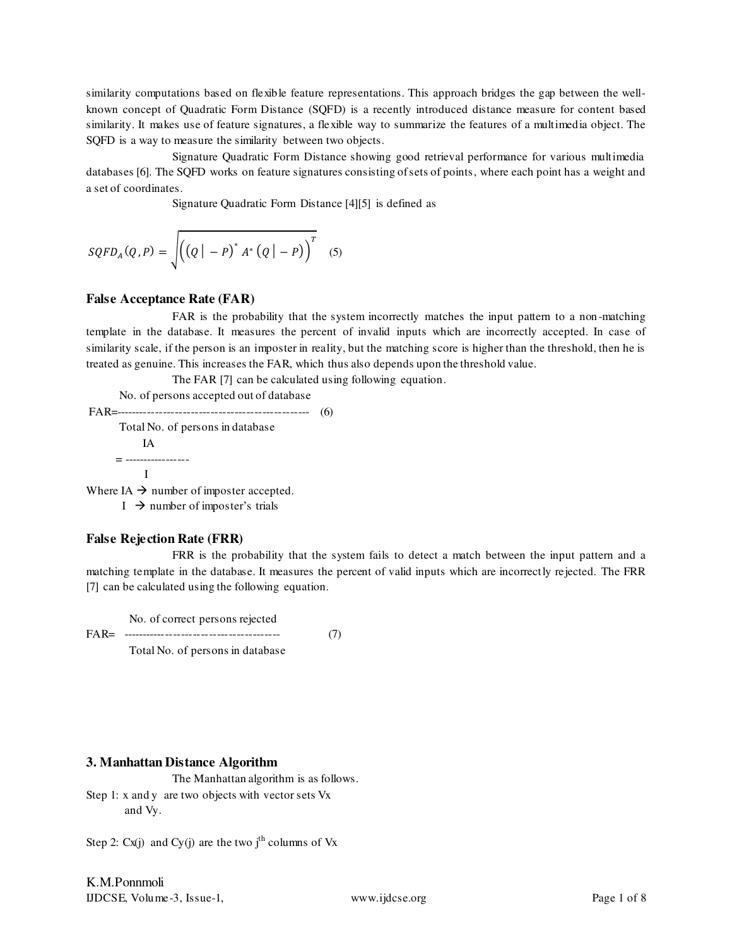similarity computations based on flexible feature representations. This approach bridges the gap between the wellknown concept of Quadratic Form Distance (SQFD) is a recently introduced distance measure for content based similarity. It makes use of feature signatures, a flexible way to summarize the features of a multimedia object. The SQFD is a way to measure the similarity between two objects.

 Signature Quadratic Form Distance showing good retrieval performance for various multimedia databases [6]. The SQFD works on feature signatures consisting of sets of points, where each point has a weight and a set of coordinates.

Signature Quadratic Form Distance [4][5] is defined as

$$
SQFD_A(Q, P) = \sqrt{(Q|-P)^* A^* (Q|-P)}^T
$$
 (5)

## **False Acceptance Rate (FAR)**

FAR is the probability that the system incorrectly matches the input pattern to a non-matching template in the database. It measures the percent of invalid inputs which are incorrectly accepted. In case of similarity scale, if the person is an imposter in reality, but the matching score is higher than the threshold, then he is treated as genuine. This increases the FAR, which thus also depends upon the threshold value.

The FAR [7] can be calculated using following equation.

 No. of persons accepted out of database FAR=------------------------------------------------- (6) Total No. of persons in database IA  $= 1.11$ I

Where IA  $\rightarrow$  number of imposter accepted.

 $I \rightarrow$  number of imposter's trials

# **False Rejection Rate (FRR)**

 FRR is the probability that the system fails to detect a match between the input pattern and a matching template in the database. It measures the percent of valid inputs which are incorrectly rejected. The FRR [7] can be calculated using the following equation.

No. of correct persons rejected

FAR= ---------------------------------------- (7)

Total No. of persons in database

# **3. Manhattan Distance Algorithm**

The Manhattan algorithm is as follows. Step 1: x and y are two objects with vector sets Vx and Vy.

Step 2:  $Cx(i)$  and  $Cy(i)$  are the two j<sup>th</sup> columns of Vx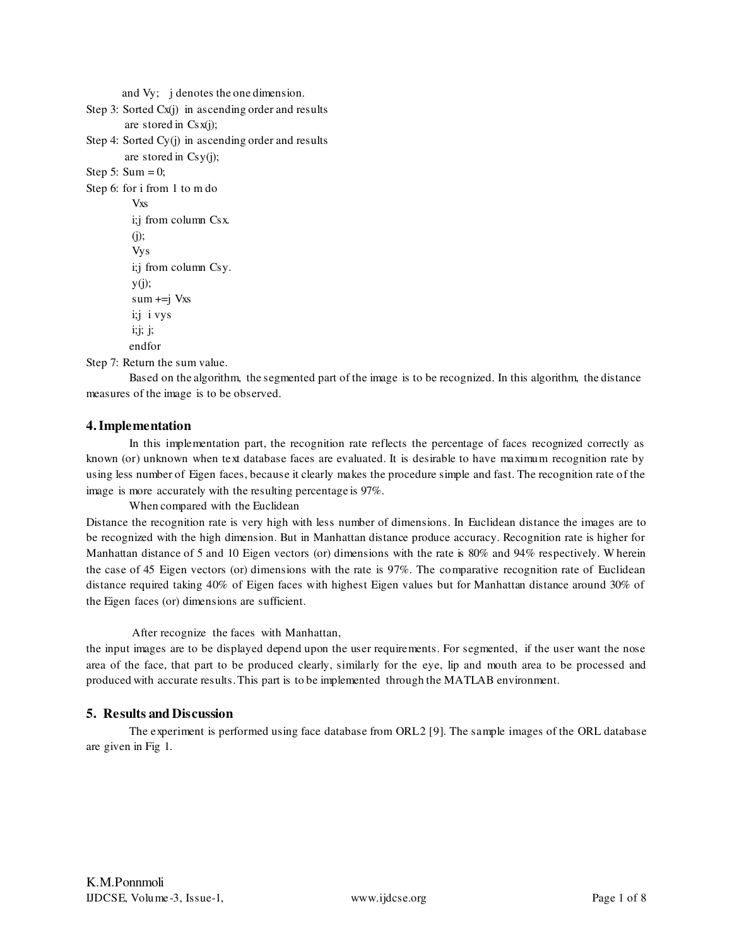and Vy; j denotes the one dimension.

```
Step 3: Sorted Cx(j) in ascending order and results
         are stored in Csx(j); 
Step 4: Sorted Cy(j) in ascending order and results 
         are stored in Csy(j); 
Step 5: Sum = 0;
Step 6: for i from 1 to m do 
           Vxs 
           i;j from column Csx. 
          (i);
           Vys 
           i;j from column Csy. 
          y(i);
          sum +=j Vxs
           i;j i vys 
           i;j; j; 
         endfor
```
Step 7: Return the sum value.

Based on the algorithm, the segmented part of the image is to be recognized. In this algorithm, the distance measures of the image is to be observed.

# **4.Implementation**

 In this implementation part, the recognition rate reflects the percentage of faces recognized correctly as known (or) unknown when text database faces are evaluated. It is desirable to have maximum recognition rate by using less number of Eigen faces, because it clearly makes the procedure simple and fast. The recognition rate of the image is more accurately with the resulting percentage is 97%.

When compared with the Euclidean

Distance the recognition rate is very high with less number of dimensions. In Euclidean distance the images are to be recognized with the high dimension. But in Manhattan distance produce accuracy. Recognition rate is higher for Manhattan distance of 5 and 10 Eigen vectors (or) dimensions with the rate is 80% and 94% respectively. Wherein the case of 45 Eigen vectors (or) dimensions with the rate is 97%. The comparative recognition rate of Euclidean distance required taking 40% of Eigen faces with highest Eigen values but for Manhattan distance around 30% of the Eigen faces (or) dimensions are sufficient.

## After recognize the faces with Manhattan,

the input images are to be displayed depend upon the user requirements. For segmented, if the user want the nose area of the face, that part to be produced clearly, similarly for the eye, lip and mouth area to be processed and produced with accurate results. This part is to be implemented through the MATLAB environment.

# **5. Results and Discussion**

The experiment is performed using face database from ORL2 [9]. The sample images of the ORL database are given in Fig 1.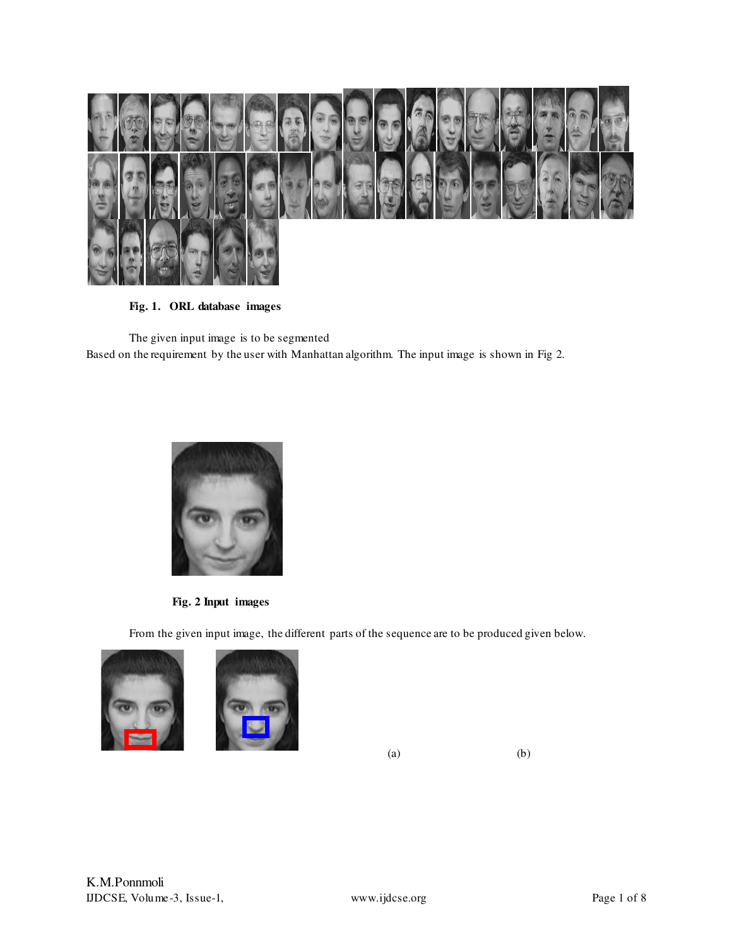

**Fig. 1. ORL database images** 

The given input image is to be segmented Based on the requirement by the user with Manhattan algorithm. The input image is shown in Fig 2.



**Fig. 2 Input images** 

From the given input image, the different parts of the sequence are to be produced given below.





 $(a)$  (b)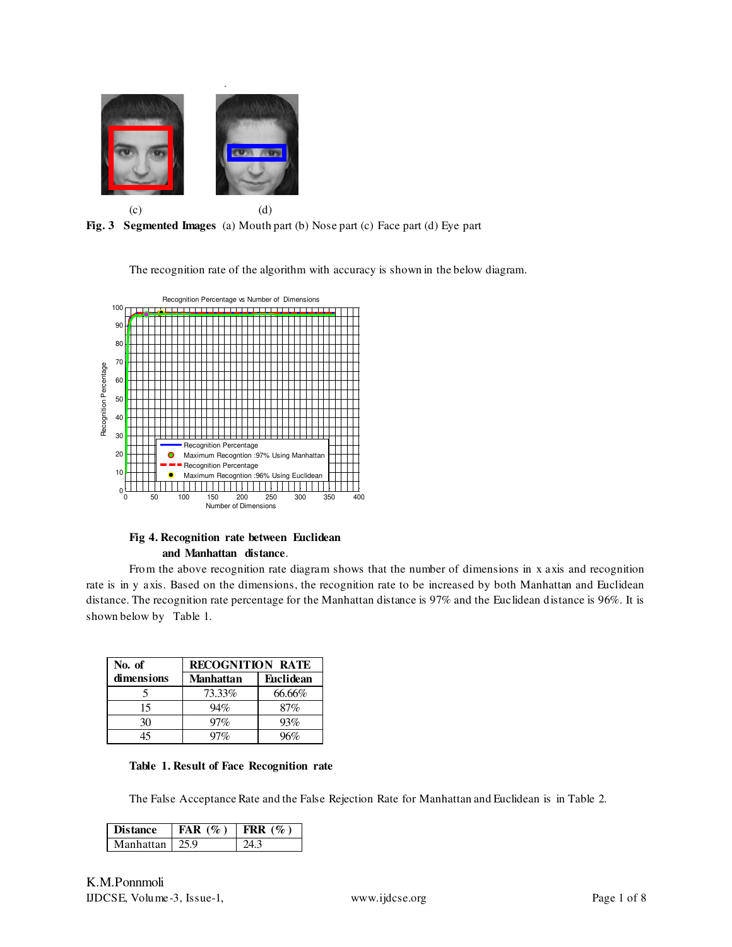

Face Detection Eyes Detection

**Fig. 3 Segmented Images** (a) Mouth part (b) Nose part (c) Face part (d) Eye part

The recognition rate of the algorithm with accuracy is shown in the below diagram.



## **Fig 4. Recognition rate between Euclidean and Manhattan distance**.

From the above recognition rate diagram shows that the number of dimensions in x axis and recognition rate is in y axis. Based on the dimensions, the recognition rate to be increased by both Manhattan and Euclidean distance. The recognition rate percentage for the Manhattan distance is 97% and the Euclidean distance is 96%. It is shown below by Table 1.

| No. of     | <b>RECOGNITION RATE</b> |                  |  |  |
|------------|-------------------------|------------------|--|--|
| dimensions | <b>Manhattan</b>        | <b>Euclidean</b> |  |  |
|            | 73.33%                  | 66.66%           |  |  |
| 15         | 94%                     | 87%              |  |  |
| 30         | 97%                     | 93%              |  |  |
| 45         | 97%                     | 96%              |  |  |

|  |  |  |  |  | Table 1. Result of Face Recognition rate |  |
|--|--|--|--|--|------------------------------------------|--|
|--|--|--|--|--|------------------------------------------|--|

The False Acceptance Rate and the False Rejection Rate for Manhattan and Euclidean is in Table 2.

| <b>Distance</b> | FAR(%) | FRR $(\%)$ |
|-----------------|--------|------------|
| Manhattan       | 25 Q   |            |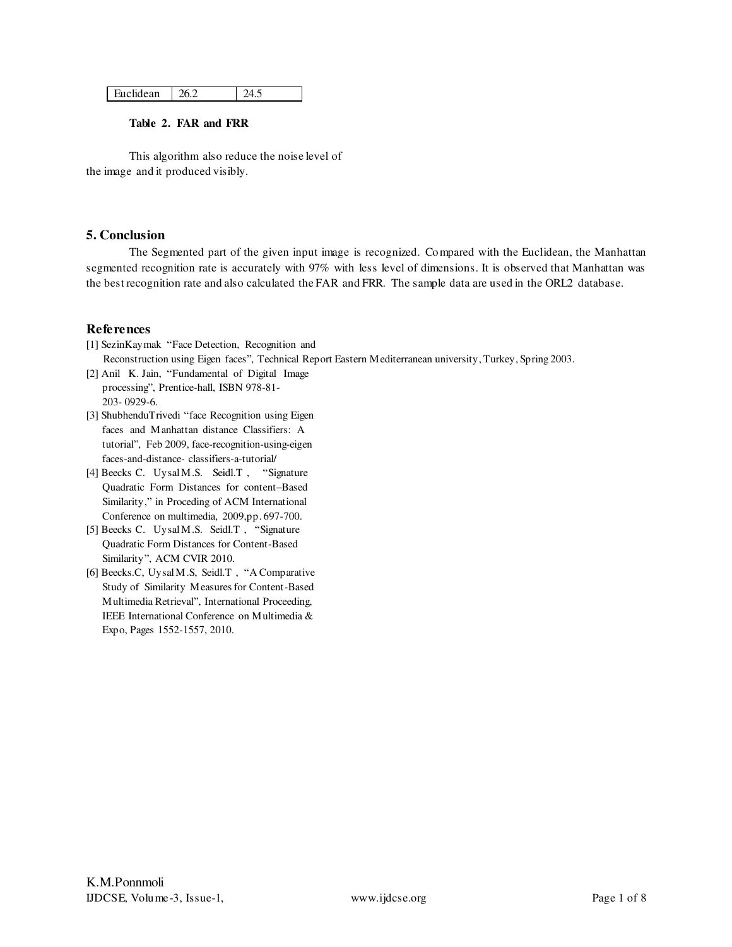| Euclidean | 26.2 | 24.5 |
|-----------|------|------|
|-----------|------|------|

#### **Table 2. FAR and FRR**

This algorithm also reduce the noise level of the image and it produced visibly.

## **5. Conclusion**

 The Segmented part of the given input image is recognized. Compared with the Euclidean, the Manhattan segmented recognition rate is accurately with 97% with less level of dimensions. It is observed that Manhattan was the best recognition rate and also calculated the FAR and FRR. The sample data are used in the ORL2 database.

# **References**

- [1] SezinKaymak "Face Detection, Recognition and Reconstruction using Eigen faces", Technical Report Eastern Mediterranean university, Turkey, Spring 2003.
- [2] Anil K. Jain, "Fundamental of Digital Image processing", Prentice-hall, ISBN 978-81- 203- 0929-6.
- [3] ShubhenduTrivedi "face Recognition using Eigen faces and Manhattan distance Classifiers: A tutorial", Feb 2009, face-recognition-using-eigen faces-and-distance- classifiers-a-tutorial/
- [4] Beecks C. Uysal M.S. Seidl.T , "Signature Quadratic Form Distances for content–Based Similarity," in Proceding of ACM International Conference on multimedia, 2009,pp. 697-700.
- [5] Beecks C. Uysal M.S. Seidl.T , "Signature Quadratic Form Distances for Content-Based Similarity", ACM CVIR 2010.
- [6] Beecks.C, Uysal M.S, Seidl.T , "A Comparative Study of Similarity Measures for Content-Based Multimedia Retrieval", International Proceeding, IEEE International Conference on Multimedia & Expo, Pages 1552-1557, 2010.